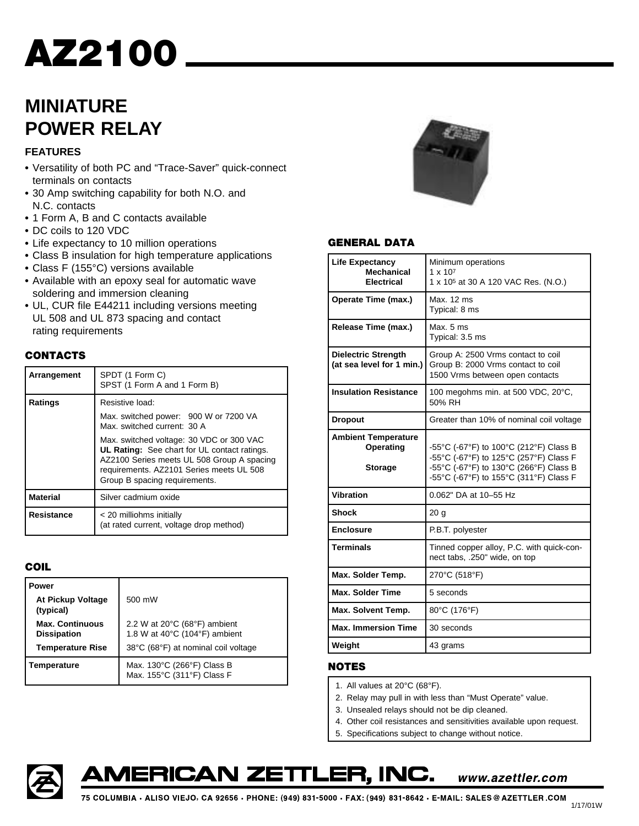### **MINIATURE POWER RELAY**

#### **FEATURES**

- **•** Versatility of both PC and "Trace-Saver" quick-connect terminals on contacts
- **•** 30 Amp switching capability for both N.O. and N.C. contacts
- **•** 1 Form A, B and C contacts available
- **•** DC coils to 120 VDC
- **•** Life expectancy to 10 million operations
- **•** Class B insulation for high temperature applications
- **•** Class F (155°C) versions available
- **•** Available with an epoxy seal for automatic wave soldering and immersion cleaning
- **•** UL, CUR file E44211 including versions meeting UL 508 and UL 873 spacing and contact rating requirements

#### **CONTACTS**

| Arrangement     | SPDT (1 Form C)<br>SPST (1 Form A and 1 Form B)                                                                                                                                                                     |  |  |  |  |
|-----------------|---------------------------------------------------------------------------------------------------------------------------------------------------------------------------------------------------------------------|--|--|--|--|
| Ratings         | Resistive load:                                                                                                                                                                                                     |  |  |  |  |
|                 | Max. switched power: 900 W or 7200 VA<br>Max. switched current: 30 A                                                                                                                                                |  |  |  |  |
|                 | Max. switched voltage: 30 VDC or 300 VAC<br>UL Rating: See chart for UL contact ratings.<br>AZ2100 Series meets UL 508 Group A spacing<br>requirements. AZ2101 Series meets UL 508<br>Group B spacing requirements. |  |  |  |  |
| <b>Material</b> | Silver cadmium oxide                                                                                                                                                                                                |  |  |  |  |
| Resistance      | < 20 milliohms initially<br>(at rated current, voltage drop method)                                                                                                                                                 |  |  |  |  |

#### **COIL**

| Power                                        |                                                                                    |
|----------------------------------------------|------------------------------------------------------------------------------------|
| At Pickup Voltage<br>(typical)               | 500 mW                                                                             |
| <b>Max. Continuous</b><br><b>Dissipation</b> | 2.2 W at 20°C (68°F) ambient<br>1.8 W at $40^{\circ}$ C (104 $^{\circ}$ F) ambient |
| <b>Temperature Rise</b>                      | 38°C (68°F) at nominal coil voltage                                                |
| Temperature                                  | Max. 130°C (266°F) Class B<br>Max. 155°C (311°F) Class F                           |



#### **GENERAL DATA**

| <b>Life Expectancy</b><br><b>Mechanical</b><br><b>Electrical</b> | Minimum operations<br>$1 \times 10^{7}$<br>1 x 10 <sup>5</sup> at 30 A 120 VAC Res. (N.O.)                                                                           |  |  |  |
|------------------------------------------------------------------|----------------------------------------------------------------------------------------------------------------------------------------------------------------------|--|--|--|
| Operate Time (max.)                                              | Max. 12 ms<br>Typical: 8 ms                                                                                                                                          |  |  |  |
| Release Time (max.)                                              | Max. 5 ms<br>Typical: 3.5 ms                                                                                                                                         |  |  |  |
| <b>Dielectric Strength</b><br>(at sea level for 1 min.)          | Group A: 2500 Vrms contact to coil<br>Group B: 2000 Vrms contact to coil<br>1500 Vrms between open contacts                                                          |  |  |  |
| <b>Insulation Resistance</b>                                     | 100 megohms min. at 500 VDC, 20°C,<br>50% RH                                                                                                                         |  |  |  |
| <b>Dropout</b>                                                   | Greater than 10% of nominal coil voltage                                                                                                                             |  |  |  |
| <b>Ambient Temperature</b><br>Operating<br><b>Storage</b>        | -55°C (-67°F) to 100°C (212°F) Class B<br>-55°C (-67°F) to 125°C (257°F) Class F<br>-55°C (-67°F) to 130°C (266°F) Class B<br>-55°C (-67°F) to 155°C (311°F) Class F |  |  |  |
| <b>Vibration</b>                                                 | 0.062" DA at 10-55 Hz                                                                                                                                                |  |  |  |
| <b>Shock</b>                                                     | 20 <sub>g</sub>                                                                                                                                                      |  |  |  |
| <b>Enclosure</b>                                                 | P.B.T. polyester                                                                                                                                                     |  |  |  |
| <b>Terminals</b>                                                 | Tinned copper alloy, P.C. with quick-con-<br>nect tabs, .250" wide, on top                                                                                           |  |  |  |
| Max. Solder Temp.                                                | 270°C (518°F)                                                                                                                                                        |  |  |  |
| <b>Max. Solder Time</b>                                          | 5 seconds                                                                                                                                                            |  |  |  |
| Max. Solvent Temp.                                               | 80°C (176°F)                                                                                                                                                         |  |  |  |
| <b>Max. Immersion Time</b>                                       | 30 seconds                                                                                                                                                           |  |  |  |
| Weight                                                           | 43 grams                                                                                                                                                             |  |  |  |

#### **NOTES**

- 1. All values at 20°C (68°F).
- 2. Relay may pull in with less than "Must Operate" value.
- 3. Unsealed relays should not be dip cleaned.
- 4. Other coil resistances and sensitivities available upon request.

www.azettler.com

5. Specifications subject to change without notice.



AMERICAN ZETTLER, INC.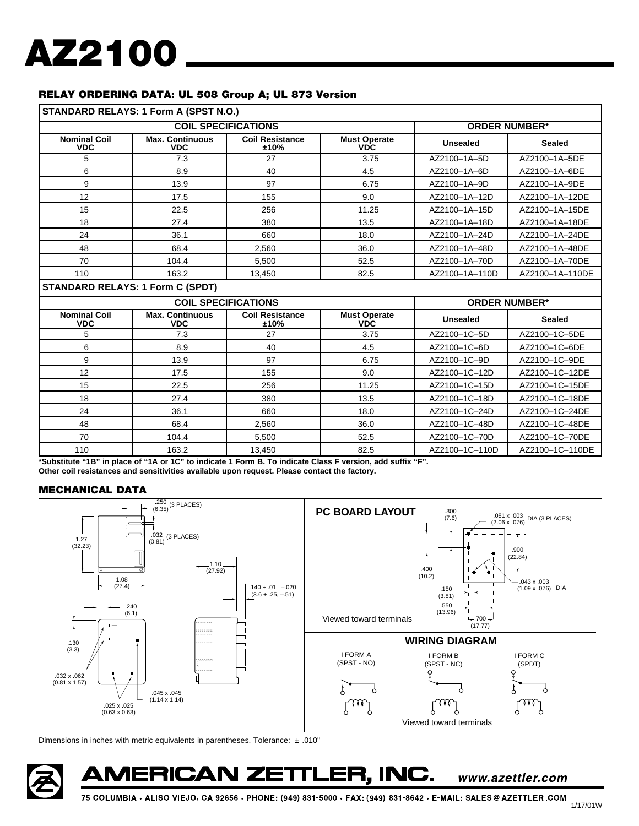#### **RELAY ORDERING DATA: UL 508 Group A; UL 873 Version**

|                                         | STANDARD RELAYS: 1 Form A (SPST N.O.) |                                |                                   |                 |                      |  |  |
|-----------------------------------------|---------------------------------------|--------------------------------|-----------------------------------|-----------------|----------------------|--|--|
| <b>COIL SPECIFICATIONS</b>              |                                       |                                | <b>ORDER NUMBER*</b>              |                 |                      |  |  |
| <b>Nominal Coil</b><br><b>VDC</b>       | <b>Max. Continuous</b><br><b>VDC</b>  | <b>Coil Resistance</b><br>±10% | <b>Must Operate</b><br><b>VDC</b> | <b>Unsealed</b> | <b>Sealed</b>        |  |  |
| 5                                       | 7.3                                   | 27                             | 3.75                              | AZ2100-1A-5D    | AZ2100-1A-5DE        |  |  |
| 6                                       | 8.9                                   | 40                             | 4.5                               | AZ2100-1A-6D    | AZ2100-1A-6DE        |  |  |
| 9                                       | 13.9                                  | 97                             | 6.75                              | AZ2100-1A-9D    | AZ2100-1A-9DE        |  |  |
| 12                                      | 17.5                                  | 155                            | 9.0                               | AZ2100-1A-12D   | AZ2100-1A-12DE       |  |  |
| 15                                      | 22.5                                  | 256                            | 11.25                             | AZ2100-1A-15D   | AZ2100-1A-15DE       |  |  |
| 18                                      | 27.4                                  | 380                            | 13.5                              | AZ2100-1A-18D   | AZ2100-1A-18DE       |  |  |
| 24                                      | 36.1                                  | 660                            | 18.0                              | AZ2100-1A-24D   | AZ2100-1A-24DE       |  |  |
| 48                                      | 68.4                                  | 2.560                          | 36.0                              | AZ2100-1A-48D   | AZ2100-1A-48DE       |  |  |
| 70                                      | 104.4                                 | 5,500                          | 52.5                              | AZ2100-1A-70D   | AZ2100-1A-70DE       |  |  |
| 110                                     | 163.2                                 | 13,450                         | 82.5                              | AZ2100-1A-110D  | AZ2100-1A-110DE      |  |  |
| <b>STANDARD RELAYS: 1 Form C (SPDT)</b> |                                       |                                |                                   |                 |                      |  |  |
|                                         |                                       | <b>COIL SPECIFICATIONS</b>     |                                   |                 | <b>ORDER NUMBER*</b> |  |  |
| <b>Nominal Coil</b><br><b>VDC</b>       | <b>Max. Continuous</b><br><b>VDC</b>  | <b>Coil Resistance</b><br>±10% | <b>Must Operate</b><br><b>VDC</b> | <b>Unsealed</b> | <b>Sealed</b>        |  |  |
| 5                                       | 7.3                                   | 27                             | 3.75                              | AZ2100-1C-5D    | AZ2100-1C-5DE        |  |  |
| 6                                       | 8.9                                   | 40                             | 4.5                               | AZ2100-1C-6D    | AZ2100-1C-6DE        |  |  |
| 9                                       | 13.9                                  | 97                             | 6.75                              | AZ2100-1C-9D    | AZ2100-1C-9DE        |  |  |
| 12                                      | 17.5                                  | 155                            | 9.0                               | AZ2100-1C-12D   | AZ2100-1C-12DE       |  |  |
| 15                                      | 22.5                                  | 256                            | 11.25                             | AZ2100-1C-15D   | AZ2100-1C-15DE       |  |  |
| 18                                      | 27.4                                  | 380                            | 13.5                              | AZ2100-1C-18D   | AZ2100-1C-18DE       |  |  |
| 24                                      | 36.1                                  | 660                            | 18.0                              | AZ2100-1C-24D   | AZ2100-1C-24DE       |  |  |
| 48                                      | 68.4                                  | 2,560                          | 36.0                              | AZ2100-1C-48D   | AZ2100-1C-48DE       |  |  |
| 70                                      | 104.4                                 | 5,500                          | 52.5                              | AZ2100-1C-70D   | AZ2100-1C-70DE       |  |  |
| 110                                     | 163.2                                 | 13,450                         | 82.5                              | AZ2100-1C-110D  | AZ2100-1C-110DE      |  |  |

**\*Substitute "1B" in place of "1A or 1C" to indicate 1 Form B. To indicate Class F version, add suffix "F". Other coil resistances and sensitivities available upon request. Please contact the factory.**

#### **MECHANICAL DATA**



Dimensions in inches with metric equivalents in parentheses. Tolerance: ± .010"

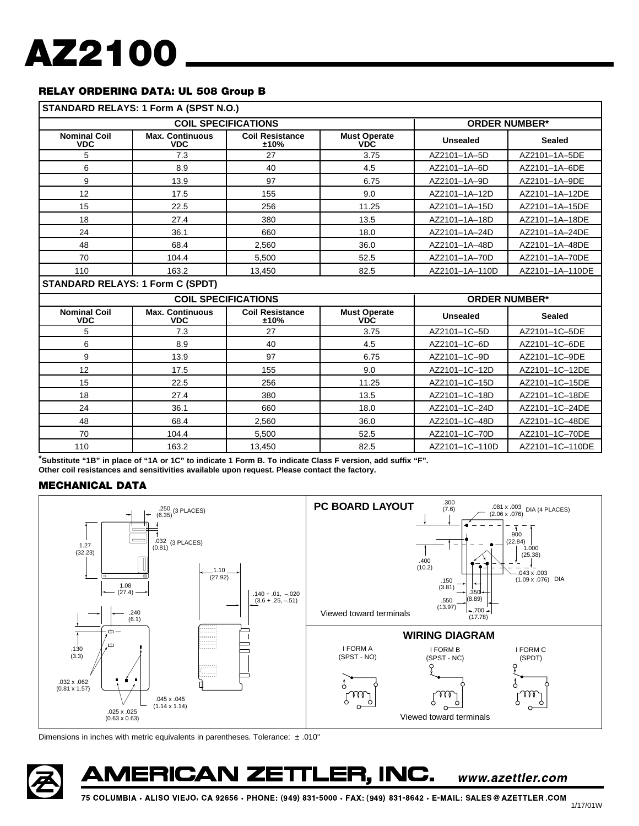#### **RELAY ORDERING DATA: UL 508 Group B**

| STANDARD RELAYS: 1 Form A (SPST N.O.) |                                         |                                |                                   |                      |                      |  |  |  |
|---------------------------------------|-----------------------------------------|--------------------------------|-----------------------------------|----------------------|----------------------|--|--|--|
| <b>COIL SPECIFICATIONS</b>            |                                         |                                |                                   | <b>ORDER NUMBER*</b> |                      |  |  |  |
| <b>Nominal Coil</b><br><b>VDC</b>     | <b>Max. Continuous</b><br><b>VDC</b>    | <b>Coil Resistance</b><br>±10% | <b>Must Operate</b><br><b>VDC</b> | <b>Unsealed</b>      | <b>Sealed</b>        |  |  |  |
| 5                                     | 7.3                                     | 27                             | 3.75                              | AZ2101-1A-5D         | AZ2101-1A-5DE        |  |  |  |
| 6                                     | 8.9                                     | 40                             | 4.5                               | AZ2101-1A-6D         | AZ2101-1A-6DE        |  |  |  |
| 9                                     | 13.9                                    | 97                             | 6.75                              | AZ2101-1A-9D         | AZ2101-1A-9DE        |  |  |  |
| 12                                    | 17.5                                    | 155                            | 9.0                               | AZ2101-1A-12D        | AZ2101-1A-12DE       |  |  |  |
| 15                                    | 22.5                                    | 256                            | 11.25                             | AZ2101-1A-15D        | AZ2101-1A-15DE       |  |  |  |
| 18                                    | 27.4                                    | 380                            | 13.5                              | AZ2101-1A-18D        | AZ2101-1A-18DE       |  |  |  |
| 24                                    | 36.1                                    | 660                            | 18.0                              | AZ2101-1A-24D        | AZ2101-1A-24DE       |  |  |  |
| 48                                    | 68.4                                    | 2.560                          | 36.0                              | AZ2101-1A-48D        | AZ2101-1A-48DE       |  |  |  |
| 70                                    | 104.4                                   | 5.500                          | 52.5                              | AZ2101-1A-70D        | AZ2101-1A-70DE       |  |  |  |
| 110                                   | 163.2                                   | 13.450                         | 82.5                              | AZ2101-1A-110D       | AZ2101-1A-110DE      |  |  |  |
|                                       | <b>STANDARD RELAYS: 1 Form C (SPDT)</b> |                                |                                   |                      |                      |  |  |  |
|                                       |                                         | <b>COIL SPECIFICATIONS</b>     |                                   |                      | <b>ORDER NUMBER*</b> |  |  |  |
| <b>Nominal Coil</b><br><b>VDC</b>     | <b>Max. Continuous</b><br><b>VDC</b>    | <b>Coil Resistance</b><br>±10% | <b>Must Operate</b><br><b>VDC</b> | <b>Unsealed</b>      | <b>Sealed</b>        |  |  |  |
| 5                                     | 7.3                                     | 27                             | 3.75                              | AZ2101-1C-5D         | AZ2101-1C-5DE        |  |  |  |
| 6                                     | 8.9                                     | 40                             | 4.5                               | AZ2101-1C-6D         | AZ2101-1C-6DE        |  |  |  |
| 9                                     | 13.9                                    | 97                             | 6.75                              | AZ2101-1C-9D         | AZ2101-1C-9DE        |  |  |  |
| 12                                    | 17.5                                    | 155                            | 9.0                               | AZ2101-1C-12D        | AZ2101-1C-12DE       |  |  |  |
| 15                                    | 22.5                                    | 256                            | 11.25                             | AZ2101-1C-15D        | AZ2101-1C-15DE       |  |  |  |
| 18                                    | 27.4                                    | 380                            | 13.5                              | AZ2101-1C-18D        | AZ2101-1C-18DE       |  |  |  |
| 24                                    | 36.1                                    | 660                            | 18.0                              | AZ2101-1C-24D        | AZ2101-1C-24DE       |  |  |  |
| 48                                    | 68.4                                    | 2,560                          | 36.0                              | AZ2101-1C-48D        | AZ2101-1C-48DE       |  |  |  |
| 70                                    | 104.4                                   | 5,500                          | 52.5                              | AZ2101-1C-70D        | AZ2101-1C-70DE       |  |  |  |
| 110                                   | 163.2                                   | 13.450                         | 82.5                              | AZ2101-1C-110D       | AZ2101-1C-110DE      |  |  |  |

**\*Substitute "1B" in place of "1A or 1C" to indicate 1 Form B. To indicate Class F version, add suffix "F". Other coil resistances and sensitivities available upon request. Please contact the factory.**

#### **MECHANICAL DATA**



Dimensions in inches with metric equivalents in parentheses. Tolerance: ± .010"